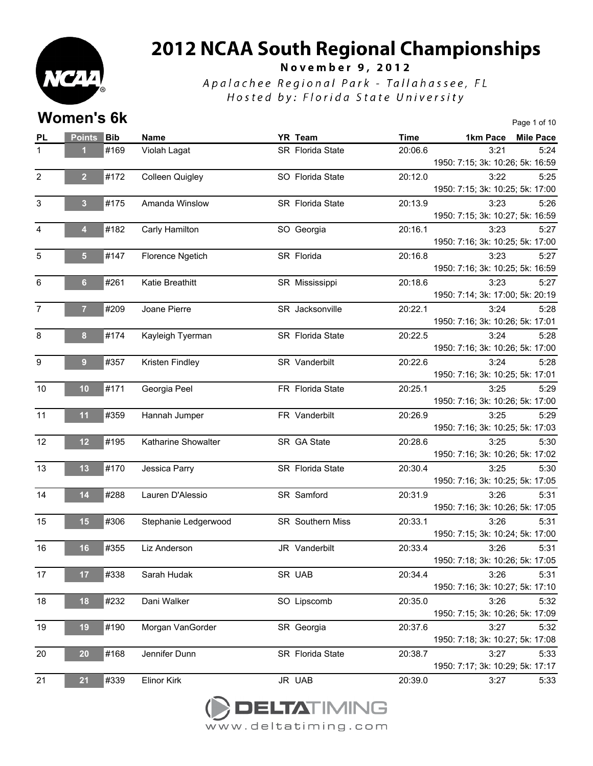

November 9, 2012

Apalachee Regional Park - Tallahassee, FL Hosted by: Florida State University

#### **Women's 6k** Page 1 of 10

| <b>PL</b>        | <b>Points</b>   | Bib  | Name                 | YR Team          | <b>Time</b> | 1km Pace Mile Pace               |      |
|------------------|-----------------|------|----------------------|------------------|-------------|----------------------------------|------|
| 1                |                 | #169 | Violah Lagat         | SR Florida State | 20:06.6     | 3:21                             | 5:24 |
|                  |                 |      |                      |                  |             | 1950: 7:15; 3k: 10:26; 5k: 16:59 |      |
| $\overline{2}$   | $\overline{2}$  | #172 | Colleen Quigley      | SO Florida State | 20:12.0     | 3:22                             | 5:25 |
|                  |                 |      |                      |                  |             | 1950: 7:15; 3k: 10:25; 5k: 17:00 |      |
| $\mathbf{3}$     | $\overline{3}$  | #175 | Amanda Winslow       | SR Florida State | 20:13.9     | 3:23                             | 5:26 |
|                  |                 |      |                      |                  |             | 1950: 7:15; 3k: 10:27; 5k: 16:59 |      |
| 4                | 4               | #182 | Carly Hamilton       | SO Georgia       | 20:16.1     | 3:23                             | 5:27 |
|                  |                 |      |                      |                  |             | 1950: 7:16; 3k: 10:25; 5k: 17:00 |      |
| 5                | 5               | #147 | Florence Ngetich     | SR Florida       | 20:16.8     | 3:23                             | 5:27 |
|                  |                 |      |                      |                  |             | 1950: 7:16; 3k: 10:25; 5k: 16:59 |      |
| 6                | $6\phantom{1}6$ | #261 | Katie Breathitt      | SR Mississippi   | 20:18.6     | 3:23                             | 5:27 |
|                  |                 |      |                      |                  |             | 1950: 7:14; 3k: 17:00; 5k: 20:19 |      |
| $\overline{7}$   | 7               | #209 | Joane Pierre         | SR Jacksonville  | 20:22.1     | 3:24                             | 5:28 |
|                  |                 |      |                      |                  |             | 1950: 7:16; 3k: 10:26; 5k: 17:01 |      |
| 8                | 8               | #174 | Kayleigh Tyerman     | SR Florida State | 20:22.5     | 3:24                             | 5:28 |
|                  |                 |      |                      |                  |             | 1950: 7:16; 3k: 10:26; 5k: 17:00 |      |
| $\boldsymbol{9}$ | 9               | #357 | Kristen Findley      | SR Vanderbilt    | 20:22.6     | 3:24                             | 5:28 |
|                  |                 |      |                      |                  |             | 1950: 7:16; 3k: 10:25; 5k: 17:01 |      |
| 10               | 10              | #171 | Georgia Peel         | FR Florida State | 20:25.1     | 3:25                             | 5:29 |
|                  |                 |      |                      |                  |             | 1950: 7:16; 3k: 10:26; 5k: 17:00 |      |
| 11               | 11              | #359 | Hannah Jumper        | FR Vanderbilt    | 20:26.9     | 3:25                             | 5:29 |
|                  |                 |      |                      |                  |             | 1950: 7:16; 3k: 10:25; 5k: 17:03 |      |
| 12               | 12              | #195 | Katharine Showalter  | SR GA State      | 20:28.6     | 3:25                             | 5:30 |
|                  |                 |      |                      |                  |             | 1950: 7:16; 3k: 10:26; 5k: 17:02 |      |
| 13               | 13              | #170 | Jessica Parry        | SR Florida State | 20:30.4     | 3:25                             | 5:30 |
|                  |                 |      |                      |                  |             | 1950: 7:16; 3k: 10:25; 5k: 17:05 |      |
| 14               | 14              | #288 | Lauren D'Alessio     | SR Samford       | 20:31.9     | 3:26                             | 5:31 |
|                  |                 |      |                      |                  |             | 1950: 7:16; 3k: 10:26; 5k: 17:05 |      |
| 15               | 15              | #306 | Stephanie Ledgerwood | SR Southern Miss | 20:33.1     | 3:26                             | 5:31 |
|                  |                 |      |                      |                  |             | 1950: 7:15; 3k: 10:24; 5k: 17:00 |      |
| 16               | 16              | #355 | Liz Anderson         | JR Vanderbilt    | 20:33.4     | 3:26                             | 5:31 |
|                  |                 |      |                      |                  |             | 1950: 7:18; 3k: 10:26; 5k: 17:05 |      |
| 17               | 17              | #338 | Sarah Hudak          | SR UAB           | 20:34.4     | 3:26                             | 5:31 |
|                  |                 |      |                      |                  |             | 1950: 7:16; 3k: 10:27; 5k: 17:10 |      |
| 18               | 18              | #232 | Dani Walker          | SO Lipscomb      | 20:35.0     | 3:26                             | 5:32 |
|                  |                 |      |                      |                  |             | 1950: 7:15; 3k: 10:26; 5k: 17:09 |      |
| 19               | 19              | #190 | Morgan VanGorder     | SR Georgia       | 20:37.6     | 3:27                             | 5:32 |
|                  |                 |      |                      |                  |             | 1950: 7:18; 3k: 10:27; 5k: 17:08 |      |
| 20               | 20              | #168 | Jennifer Dunn        | SR Florida State | 20:38.7     | 3:27                             | 5:33 |
|                  |                 |      |                      |                  |             | 1950: 7:17; 3k: 10:29; 5k: 17:17 |      |
| 21               | 21              | #339 | Elinor Kirk          | JR UAB           | 20:39.0     | 3:27                             | 5:33 |

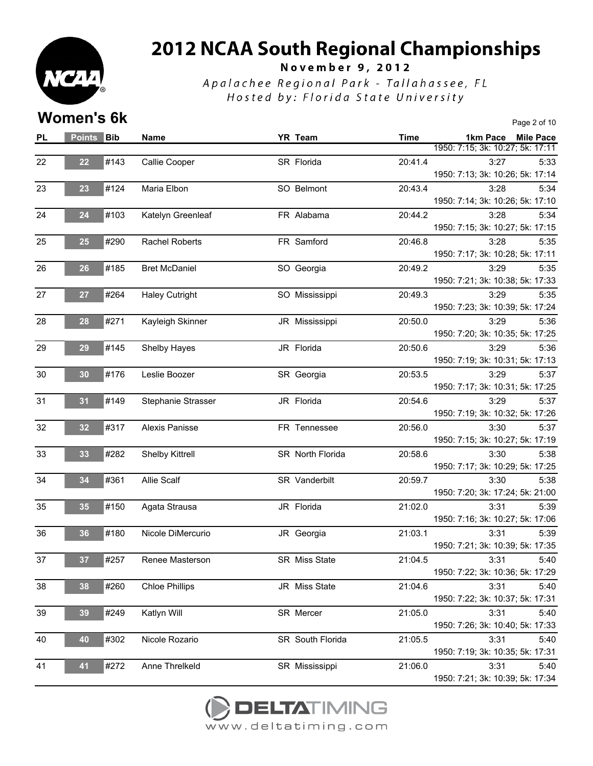

November 9, 2012

Apalachee Regional Park - Tallahassee, FL Hosted by: Florida State University

**Women's 6k** Page 2 of 10

| <b>PL</b> | Points Bib |      | Name                  | YR Team          | <b>Time</b> | 1km Pace Mile Pace               |
|-----------|------------|------|-----------------------|------------------|-------------|----------------------------------|
|           |            |      |                       |                  |             | 1950: 7:15; 3k: 10:27; 5k: 17:11 |
| 22        | 22         | #143 | Callie Cooper         | SR Florida       | 20:41.4     | 3:27<br>5:33                     |
|           |            |      |                       |                  |             | 1950: 7:13; 3k: 10:26; 5k: 17:14 |
| 23        | 23         | #124 | Maria Elbon           | SO Belmont       | 20:43.4     | 3:28<br>5:34                     |
|           |            |      |                       |                  |             | 1950: 7:14; 3k: 10:26; 5k: 17:10 |
| 24        | 24         | #103 | Katelyn Greenleaf     | FR Alabama       | 20:44.2     | 3:28<br>5:34                     |
|           |            |      |                       |                  |             | 1950: 7:15; 3k: 10:27; 5k: 17:15 |
| 25        | 25         | #290 | <b>Rachel Roberts</b> | FR Samford       | 20:46.8     | 3:28<br>5:35                     |
|           |            |      |                       |                  |             | 1950: 7:17; 3k: 10:28; 5k: 17:11 |
| 26        | 26         | #185 | <b>Bret McDaniel</b>  | SO Georgia       | 20:49.2     | 3:29<br>5:35                     |
|           |            |      |                       |                  |             | 1950: 7:21; 3k: 10:38; 5k: 17:33 |
| 27        | 27         | #264 | <b>Haley Cutright</b> | SO Mississippi   | 20:49.3     | 3:29<br>5:35                     |
|           |            |      |                       |                  |             | 1950: 7:23; 3k: 10:39; 5k: 17:24 |
| 28        | 28         | #271 | Kayleigh Skinner      | JR Mississippi   | 20:50.0     | 3:29<br>5:36                     |
|           |            |      |                       |                  |             | 1950: 7:20; 3k: 10:35; 5k: 17:25 |
| 29        | 29         | #145 | Shelby Hayes          | JR Florida       | 20:50.6     | 3:29<br>5:36                     |
|           |            |      |                       |                  |             | 1950: 7:19; 3k: 10:31; 5k: 17:13 |
| 30        | 30         | #176 | Leslie Boozer         | SR Georgia       | 20:53.5     | 3:29<br>5:37                     |
|           |            |      |                       |                  |             | 1950: 7:17; 3k: 10:31; 5k: 17:25 |
| 31        | 31         | #149 | Stephanie Strasser    | JR Florida       | 20:54.6     | 3:29<br>5:37                     |
|           |            |      |                       |                  |             | 1950: 7:19; 3k: 10:32; 5k: 17:26 |
| 32        | 32         | #317 | Alexis Panisse        | FR Tennessee     | 20:56.0     | 3:30<br>5:37                     |
|           |            |      |                       |                  |             | 1950: 7:15; 3k: 10:27; 5k: 17:19 |
| 33        | 33         | #282 | Shelby Kittrell       | SR North Florida | 20:58.6     | 3:30<br>5:38                     |
|           |            |      |                       |                  |             | 1950: 7:17; 3k: 10:29; 5k: 17:25 |
| 34        | 34         | #361 | Allie Scalf           | SR Vanderbilt    | 20:59.7     | 3:30<br>5:38                     |
|           |            |      |                       |                  |             | 1950: 7:20; 3k: 17:24; 5k: 21:00 |
| 35        | 35         | #150 | Agata Strausa         | JR Florida       | 21:02.0     | 3:31<br>5:39                     |
|           |            |      |                       |                  |             | 1950: 7:16; 3k: 10:27; 5k: 17:06 |
| 36        | 36         | #180 | Nicole DiMercurio     | JR Georgia       | 21:03.1     | 3:31<br>5:39                     |
|           |            |      |                       |                  |             | 1950: 7:21; 3k: 10:39; 5k: 17:35 |
| 37        | 37         | #257 | Renee Masterson       | SR Miss State    | 21:04.5     | 3:31<br>5:40                     |
|           |            |      |                       |                  |             | 1950: 7:22; 3k: 10:36; 5k: 17:29 |
| 38        | 38         | #260 | <b>Chloe Phillips</b> | JR Miss State    | 21:04.6     | 3:31<br>5:40                     |
|           |            |      |                       |                  |             | 1950: 7:22; 3k: 10:37; 5k: 17:31 |
| 39        | 39         | #249 | Katlyn Will           | SR Mercer        | 21:05.0     | 3:31<br>5:40                     |
|           |            |      |                       |                  |             | 1950: 7:26; 3k: 10:40; 5k: 17:33 |
| 40        | 40         | #302 | Nicole Rozario        | SR South Florida | 21:05.5     | 3:31<br>5:40                     |
|           |            |      |                       |                  |             | 1950: 7:19; 3k: 10:35; 5k: 17:31 |
| 41        | 41         | #272 | Anne Threlkeld        | SR Mississippi   | 21:06.0     | 3:31<br>5:40                     |
|           |            |      |                       |                  |             | 1950: 7:21; 3k: 10:39; 5k: 17:34 |

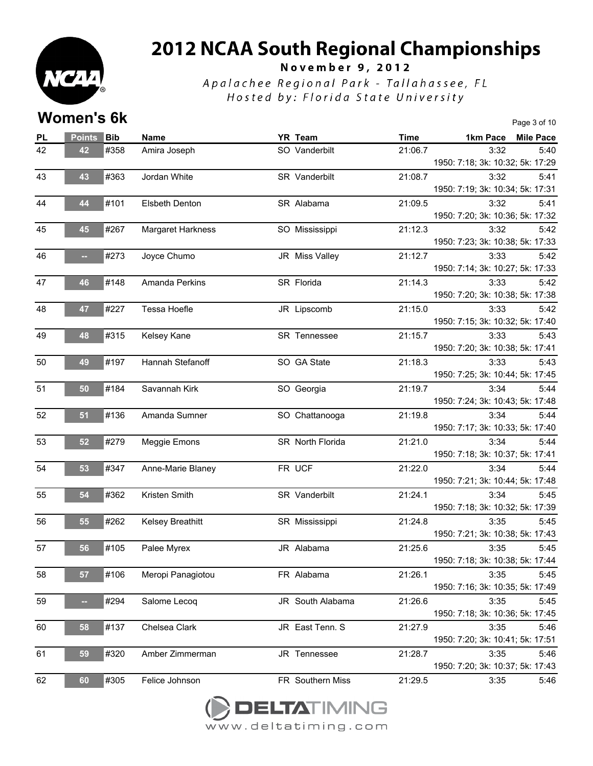

November 9, 2012

Apalachee Regional Park - Tallahassee, FL Hosted by: Florida State University

#### **Women's 6k** Page 3 of 10

| <b>PL</b> | <b>Points</b> | Bib  | Name              | YR Team          |         | Time 1km Pace Mile Pace          |      |
|-----------|---------------|------|-------------------|------------------|---------|----------------------------------|------|
| 42        | 42            | #358 | Amira Joseph      | SO Vanderbilt    |         | 3:32<br>21:06.7                  | 5:40 |
|           |               |      |                   |                  |         | 1950: 7:18; 3k: 10:32; 5k: 17:29 |      |
| 43        | 43            | #363 | Jordan White      | SR Vanderbilt    | 21:08.7 | 3:32                             | 5:41 |
|           |               |      |                   |                  |         | 1950: 7:19; 3k: 10:34; 5k: 17:31 |      |
| 44        | 44            | #101 | Elsbeth Denton    | SR Alabama       |         | 21:09.5<br>3:32                  | 5:41 |
|           |               |      |                   |                  |         | 1950: 7:20; 3k: 10:36; 5k: 17:32 |      |
| 45        | 45            | #267 | Margaret Harkness | SO Mississippi   | 21:12.3 | 3:32                             | 5:42 |
|           |               |      |                   |                  |         | 1950: 7:23; 3k: 10:38; 5k: 17:33 |      |
| 46        |               | #273 | Joyce Chumo       | JR Miss Valley   | 21:12.7 | 3:33                             | 5:42 |
|           |               |      |                   |                  |         | 1950: 7:14; 3k: 10:27; 5k: 17:33 |      |
| 47        | 46            | #148 | Amanda Perkins    | SR Florida       |         | 3:33<br>21:14.3                  | 5:42 |
|           |               |      |                   |                  |         | 1950: 7:20; 3k: 10:38; 5k: 17:38 |      |
| 48        | 47            | #227 | Tessa Hoefle      | JR Lipscomb      | 21:15.0 | 3:33                             | 5:42 |
|           |               |      |                   |                  |         | 1950: 7:15; 3k: 10:32; 5k: 17:40 |      |
| 49        | 48            | #315 | Kelsey Kane       | SR Tennessee     | 21:15.7 | 3:33                             | 5:43 |
|           |               |      |                   |                  |         | 1950: 7:20; 3k: 10:38; 5k: 17:41 |      |
| 50        | 49            | #197 | Hannah Stefanoff  | SO GA State      |         | 21:18.3<br>3:33                  | 5:43 |
|           |               |      |                   |                  |         | 1950: 7:25; 3k: 10:44; 5k: 17:45 |      |
| 51        | 50            | #184 | Savannah Kirk     | SO Georgia       |         | 21:19.7<br>3:34                  | 5:44 |
|           |               |      |                   |                  |         | 1950: 7:24; 3k: 10:43; 5k: 17:48 |      |
| 52        | 51            | #136 | Amanda Sumner     | SO Chattanooga   | 21:19.8 | 3:34                             | 5:44 |
|           |               |      |                   |                  |         | 1950: 7:17; 3k: 10:33; 5k: 17:40 |      |
| 53        | 52            | #279 | Meggie Emons      | SR North Florida |         | 21:21.0<br>3:34                  | 5:44 |
|           |               |      |                   |                  |         | 1950: 7:18; 3k: 10:37; 5k: 17:41 |      |
| 54        | 53            | #347 | Anne-Marie Blaney | FR UCF           | 21:22.0 | 3:34                             | 5:44 |
|           |               |      |                   |                  |         | 1950: 7:21; 3k: 10:44; 5k: 17:48 |      |
| 55        | 54            | #362 | Kristen Smith     | SR Vanderbilt    | 21:24.1 | 3:34                             | 5:45 |
|           |               |      |                   |                  |         | 1950: 7:18; 3k: 10:32; 5k: 17:39 |      |
| 56        | 55            | #262 | Kelsey Breathitt  | SR Mississippi   | 21:24.8 | 3:35                             | 5:45 |
|           |               |      |                   |                  |         | 1950: 7:21; 3k: 10:38; 5k: 17:43 |      |
| 57        | 56            | #105 | Palee Myrex       | JR Alabama       | 21:25.6 | 3:35                             | 5:45 |
|           |               |      |                   |                  |         | 1950: 7:18; 3k: 10:38; 5k: 17:44 |      |
| 58        | 57            | #106 | Meropi Panagiotou | FR Alabama       | 21:26.1 | 3:35                             | 5:45 |
|           |               |      |                   |                  |         | 1950: 7:16; 3k: 10:35; 5k: 17:49 |      |
| 59        |               | #294 | Salome Lecoq      | JR South Alabama | 21:26.6 | 3:35                             | 5:45 |
|           |               |      |                   |                  |         | 1950: 7:18; 3k: 10:36; 5k: 17:45 |      |
| 60        | 58            | #137 | Chelsea Clark     | JR East Tenn. S  | 21:27.9 | 3:35                             | 5:46 |
|           |               |      |                   |                  |         | 1950: 7:20; 3k: 10:41; 5k: 17:51 |      |
| 61        | 59            | #320 | Amber Zimmerman   | JR Tennessee     | 21:28.7 | 3:35                             | 5:46 |
|           |               |      |                   |                  |         | 1950: 7:20; 3k: 10:37; 5k: 17:43 |      |
| 62        | 60            | #305 | Felice Johnson    | FR Southern Miss | 21:29.5 | 3:35                             | 5:46 |

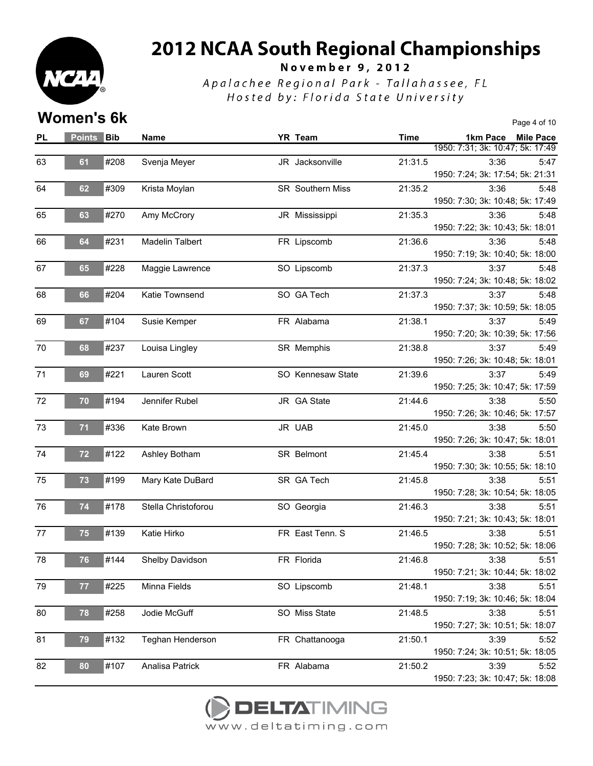

November 9, 2012

Apalachee Regional Park - Tallahassee, FL Hosted by: Florida State University

**Women's 6k** Page 4 of 10

| <b>PL</b> | Points Bib |      | Name                | YR Team           | <b>Time</b> | 1km Pace Mile Pace               |      |
|-----------|------------|------|---------------------|-------------------|-------------|----------------------------------|------|
|           |            |      |                     |                   |             | 1950: 7:31; 3k: 10:47; 5k: 17:49 |      |
| 63        | 61         | #208 | Svenja Meyer        | JR Jacksonville   | 21:31.5     | 3:36                             | 5:47 |
|           |            |      |                     |                   |             | 1950: 7:24; 3k: 17:54; 5k: 21:31 |      |
| 64        | 62         | #309 | Krista Moylan       | SR Southern Miss  | 21:35.2     | 3:36                             | 5:48 |
|           |            |      |                     |                   |             | 1950: 7:30; 3k: 10:48; 5k: 17:49 |      |
| 65        | 63         | #270 | Amy McCrory         | JR Mississippi    | 21:35.3     | 3:36                             | 5:48 |
|           |            |      |                     |                   |             | 1950: 7:22; 3k: 10:43; 5k: 18:01 |      |
| 66        | 64         | #231 | Madelin Talbert     | FR Lipscomb       | 21:36.6     | 3:36                             | 5:48 |
|           |            |      |                     |                   |             | 1950: 7:19; 3k: 10:40; 5k: 18:00 |      |
| 67        | 65         | #228 | Maggie Lawrence     | SO Lipscomb       | 21:37.3     | 3:37                             | 5:48 |
|           |            |      |                     |                   |             | 1950: 7:24; 3k: 10:48; 5k: 18:02 |      |
| 68        | 66         | #204 | Katie Townsend      | SO GA Tech        | 21:37.3     | 3:37                             | 5:48 |
|           |            |      |                     |                   |             | 1950: 7:37; 3k: 10:59; 5k: 18:05 |      |
| 69        | 67         | #104 | Susie Kemper        | FR Alabama        | 21:38.1     | 3:37                             | 5:49 |
|           |            |      |                     |                   |             | 1950: 7:20; 3k: 10:39; 5k: 17:56 |      |
| 70        | 68         | #237 | Louisa Lingley      | SR Memphis        | 21:38.8     | 3:37                             | 5:49 |
|           |            |      |                     |                   |             | 1950: 7:26; 3k: 10:48; 5k: 18:01 |      |
| 71        | 69         | #221 | Lauren Scott        | SO Kennesaw State | 21:39.6     | 3:37                             | 5:49 |
|           |            |      |                     |                   |             | 1950: 7:25; 3k: 10:47; 5k: 17:59 |      |
| 72        | 70         | #194 | Jennifer Rubel      | JR GA State       | 21:44.6     | 3:38                             | 5:50 |
|           |            |      |                     |                   |             | 1950: 7:26; 3k: 10:46; 5k: 17:57 |      |
| 73        | 71         | #336 | Kate Brown          | JR UAB            | 21:45.0     | 3:38                             | 5:50 |
|           |            |      |                     |                   |             | 1950: 7:26; 3k: 10:47; 5k: 18:01 |      |
| 74        | 72         | #122 | Ashley Botham       | SR Belmont        | 21:45.4     | 3:38                             | 5:51 |
|           |            |      |                     |                   |             | 1950: 7:30; 3k: 10:55; 5k: 18:10 |      |
| 75        | 73         | #199 | Mary Kate DuBard    | SR GA Tech        | 21:45.8     | 3:38                             | 5:51 |
|           |            |      |                     |                   |             | 1950: 7:28; 3k: 10:54; 5k: 18:05 |      |
| 76        | 74         | #178 | Stella Christoforou | SO Georgia        | 21:46.3     | 3:38                             | 5:51 |
|           |            |      |                     |                   |             | 1950: 7:21; 3k: 10:43; 5k: 18:01 |      |
| 77        | 75         | #139 | Katie Hirko         | FR East Tenn. S   | 21:46.5     | 3:38                             | 5:51 |
|           |            |      |                     |                   |             | 1950: 7:28; 3k: 10:52; 5k: 18:06 |      |
| 78        | 76         | #144 | Shelby Davidson     | FR Florida        |             | 21:46.8<br>3:38                  | 5:51 |
|           |            |      |                     |                   |             | 1950: 7:21; 3k: 10:44; 5k: 18:02 |      |
| 79        | 77         | #225 | Minna Fields        | SO Lipscomb       | 21:48.1     | 3:38                             | 5:51 |
|           |            |      |                     |                   |             | 1950: 7:19; 3k: 10:46; 5k: 18:04 |      |
| 80        | 78         | #258 | Jodie McGuff        | SO Miss State     | 21:48.5     | 3:38                             | 5:51 |
|           |            |      |                     |                   |             | 1950: 7:27; 3k: 10:51; 5k: 18:07 |      |
| 81        | 79         | #132 | Teghan Henderson    | FR Chattanooga    | 21:50.1     | 3:39                             | 5:52 |
|           |            |      |                     |                   |             | 1950: 7:24; 3k: 10:51; 5k: 18:05 |      |
| 82        | 80         | #107 | Analisa Patrick     | FR Alabama        | 21:50.2     | 3:39                             | 5:52 |
|           |            |      |                     |                   |             | 1950: 7:23; 3k: 10:47; 5k: 18:08 |      |

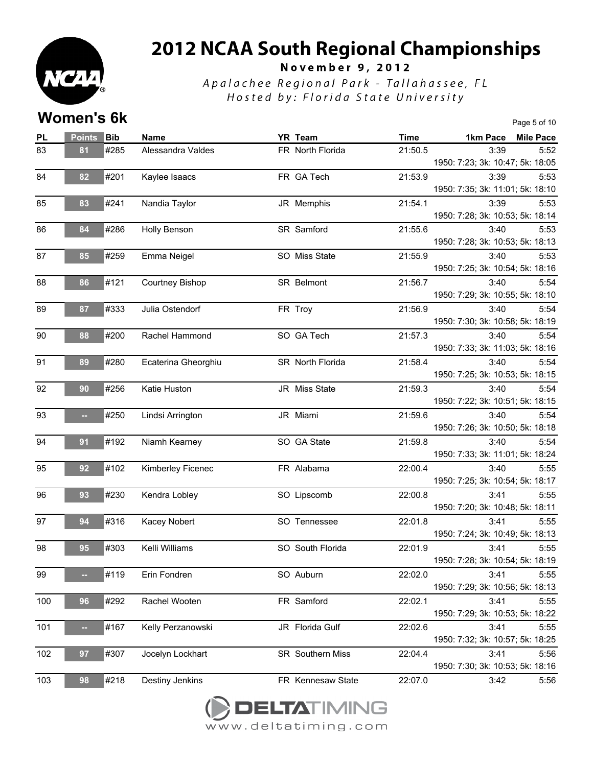

November 9, 2012

Apalachee Regional Park - Tallahassee, FL Hosted by: Florida State University

#### **Women's 6k**

| Page 5 of 10 |  |  |
|--------------|--|--|
|              |  |  |

| <b>PL</b> | Points Bib |      | Name                | YR Team           | <b>Time</b> | 1km Pace Mile Pace               |
|-----------|------------|------|---------------------|-------------------|-------------|----------------------------------|
| 83        | 81         | #285 | Alessandra Valdes   | FR North Florida  | 21:50.5     | 3:39<br>5:52                     |
|           |            |      |                     |                   |             | 1950: 7:23; 3k: 10:47; 5k: 18:05 |
| 84        | 82         | #201 | Kaylee Isaacs       | FR GA Tech        | 21:53.9     | 3:39<br>5:53                     |
|           |            |      |                     |                   |             | 1950: 7:35; 3k: 11:01; 5k: 18:10 |
| 85        | 83         | #241 | Nandia Taylor       | JR Memphis        | 21:54.1     | 3:39<br>5:53                     |
|           |            |      |                     |                   |             | 1950: 7:28; 3k: 10:53; 5k: 18:14 |
| 86        | 84         | #286 | Holly Benson        | SR Samford        | 21:55.6     | 3:40<br>5:53                     |
|           |            |      |                     |                   |             | 1950: 7:28; 3k: 10:53; 5k: 18:13 |
| 87        | 85         | #259 | Emma Neigel         | SO Miss State     | 21:55.9     | 3:40<br>5:53                     |
|           |            |      |                     |                   |             | 1950: 7:25; 3k: 10:54; 5k: 18:16 |
| 88        | 86         | #121 | Courtney Bishop     | SR Belmont        |             | 21:56.7<br>3:40<br>5:54          |
|           |            |      |                     |                   |             | 1950: 7:29; 3k: 10:55; 5k: 18:10 |
| 89        | 87         | #333 | Julia Ostendorf     | FR Troy           | 21:56.9     | 3:40<br>5:54                     |
|           |            |      |                     |                   |             | 1950: 7:30; 3k: 10:58; 5k: 18:19 |
| 90        | 88         | #200 | Rachel Hammond      | SO GA Tech        | 21:57.3     | 3:40<br>5:54                     |
|           |            |      |                     |                   |             | 1950: 7:33; 3k: 11:03; 5k: 18:16 |
| 91        | 89         | #280 | Ecaterina Gheorghiu | SR North Florida  | 21:58.4     | 3:40<br>5:54                     |
|           |            |      |                     |                   |             | 1950: 7:25; 3k: 10:53; 5k: 18:15 |
| 92        | 90         | #256 | Katie Huston        | JR Miss State     | 21:59.3     | 3:40<br>5:54                     |
|           |            |      |                     |                   |             | 1950: 7:22; 3k: 10:51; 5k: 18:15 |
| 93        |            | #250 | Lindsi Arrington    | JR Miami          | 21:59.6     | 3:40<br>5:54                     |
|           |            |      |                     |                   |             | 1950: 7:26; 3k: 10:50; 5k: 18:18 |
| 94        | 91         | #192 | Niamh Kearney       | SO GA State       | 21:59.8     | 3:40<br>5:54                     |
|           |            |      |                     |                   |             | 1950: 7:33; 3k: 11:01; 5k: 18:24 |
| 95        | 92         | #102 | Kimberley Ficenec   | FR Alabama        | 22:00.4     | 3:40<br>5:55                     |
|           |            |      |                     |                   |             | 1950: 7:25; 3k: 10:54; 5k: 18:17 |
| 96        | 93         | #230 | Kendra Lobley       | SO Lipscomb       | 22:00.8     | 3:41<br>5:55                     |
|           |            |      |                     |                   |             | 1950: 7:20; 3k: 10:48; 5k: 18:11 |
| 97        | 94         | #316 | Kacey Nobert        | SO Tennessee      | 22:01.8     | 3:41<br>5:55                     |
|           |            |      |                     |                   |             | 1950: 7:24; 3k: 10:49; 5k: 18:13 |
| 98        | 95         | #303 | Kelli Williams      | SO South Florida  | 22:01.9     | 3:41<br>5:55                     |
|           |            |      |                     |                   |             | 1950: 7:28; 3k: 10:54; 5k: 18:19 |
| 99        |            | #119 | Erin Fondren        | SO Auburn         | 22:02.0     | 3:41<br>5:55                     |
|           |            |      |                     |                   |             | 1950: 7:29; 3k: 10:56; 5k: 18:13 |
| 100       | 96         | #292 | Rachel Wooten       | FR Samford        | 22:02.1     | 3:41<br>5:55                     |
|           |            |      |                     |                   |             | 1950: 7:29; 3k: 10:53; 5k: 18:22 |
| 101       |            | #167 | Kelly Perzanowski   | JR Florida Gulf   | 22:02.6     | 3:41<br>5:55                     |
|           |            |      |                     |                   |             | 1950: 7:32; 3k: 10:57; 5k: 18:25 |
| 102       | 97         | #307 | Jocelyn Lockhart    | SR Southern Miss  | 22:04.4     | 3:41<br>5:56                     |
|           |            |      |                     |                   |             | 1950: 7:30; 3k: 10:53; 5k: 18:16 |
| 103       | 98         | #218 | Destiny Jenkins     | FR Kennesaw State | 22:07.0     | 3:42<br>5:56                     |

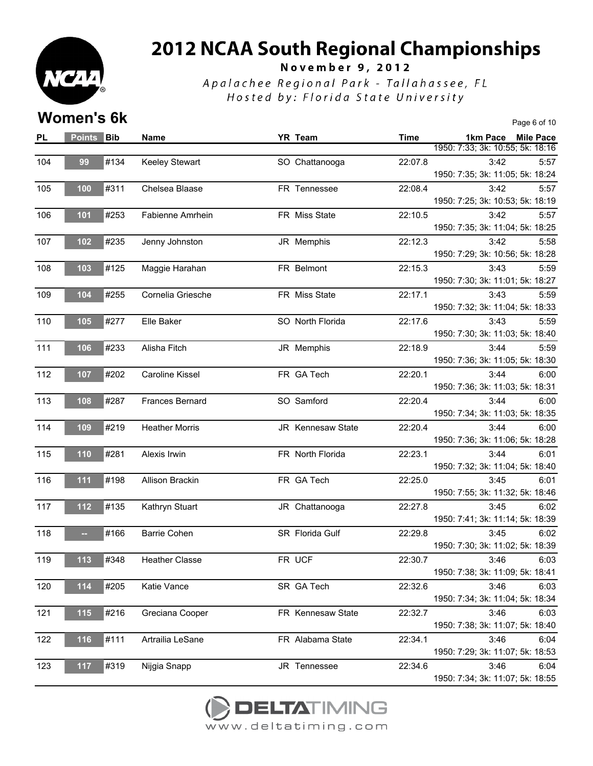

November 9, 2012

Apalachee Regional Park - Tallahassee, FL Hosted by: Florida State University

**Women's 6k** Page 6 of 10

| <b>PL</b> | Points Bib |      | Name                  | YR Team           | <b>Time</b> | 1km Pace Mile Pace               |      |
|-----------|------------|------|-----------------------|-------------------|-------------|----------------------------------|------|
|           |            |      |                       |                   |             | 1950: 7:33; 3k: 10:55; 5k: 18:16 |      |
| 104       | 99         | #134 | Keeley Stewart        | SO Chattanooga    | 22:07.8     | 3:42                             | 5:57 |
|           |            |      |                       |                   |             | 1950: 7:35; 3k: 11:05; 5k: 18:24 |      |
| 105       | 100        | #311 | Chelsea Blaase        | FR Tennessee      | 22:08.4     | 3:42                             | 5:57 |
|           |            |      |                       |                   |             | 1950: 7:25; 3k: 10:53; 5k: 18:19 |      |
| 106       | 101        | #253 | Fabienne Amrhein      | FR Miss State     | 22:10.5     | 3:42                             | 5:57 |
|           |            |      |                       |                   |             | 1950: 7:35; 3k: 11:04; 5k: 18:25 |      |
| 107       | 102        | #235 | Jenny Johnston        | JR Memphis        | 22:12.3     | 3:42                             | 5:58 |
|           |            |      |                       |                   |             | 1950: 7:29; 3k: 10:56; 5k: 18:28 |      |
| 108       | 103        | #125 | Maggie Harahan        | FR Belmont        | 22:15.3     | 3:43                             | 5:59 |
|           |            |      |                       |                   |             | 1950: 7:30; 3k: 11:01; 5k: 18:27 |      |
| 109       | 104        | #255 | Cornelia Griesche     | FR Miss State     |             | 22:17.1<br>3:43                  | 5:59 |
|           |            |      |                       |                   |             | 1950: 7:32; 3k: 11:04; 5k: 18:33 |      |
| 110       | 105        | #277 | Elle Baker            | SO North Florida  | 22:17.6     | 3:43                             | 5:59 |
|           |            |      |                       |                   |             | 1950: 7:30; 3k: 11:03; 5k: 18:40 |      |
| 111       | 106        | #233 | Alisha Fitch          | JR Memphis        | 22:18.9     | 3:44                             | 5:59 |
|           |            |      |                       |                   |             | 1950: 7:36; 3k: 11:05; 5k: 18:30 |      |
| 112       | 107        | #202 | Caroline Kissel       | FR GA Tech        | 22:20.1     | 3:44                             | 6:00 |
|           |            |      |                       |                   |             | 1950: 7:36; 3k: 11:03; 5k: 18:31 |      |
| 113       | 108        | #287 | Frances Bernard       | SO Samford        | 22:20.4     | 3:44                             | 6:00 |
|           |            |      |                       |                   |             | 1950: 7:34; 3k: 11:03; 5k: 18:35 |      |
| 114       | 109        | #219 | <b>Heather Morris</b> | JR Kennesaw State | 22:20.4     | 3:44                             | 6:00 |
|           |            |      |                       |                   |             | 1950: 7:36; 3k: 11:06; 5k: 18:28 |      |
| 115       | 110        | #281 | Alexis Irwin          | FR North Florida  | 22:23.1     | 3:44                             | 6:01 |
|           |            |      |                       |                   |             | 1950: 7:32; 3k: 11:04; 5k: 18:40 |      |
| 116       | 111        | #198 | Allison Brackin       | FR GA Tech        | 22:25.0     | 3:45                             | 6:01 |
|           |            |      |                       |                   |             | 1950: 7:55; 3k: 11:32; 5k: 18:46 |      |
| 117       | 112        | #135 | Kathryn Stuart        | JR Chattanooga    | 22:27.8     | 3:45                             | 6:02 |
|           |            |      |                       |                   |             | 1950: 7:41; 3k: 11:14; 5k: 18:39 |      |
| 118       |            | #166 | <b>Barrie Cohen</b>   | SR Florida Gulf   | 22:29.8     | 3:45                             | 6:02 |
|           |            |      |                       |                   |             | 1950: 7:30; 3k: 11:02; 5k: 18:39 |      |
| 119       | 113        | #348 | <b>Heather Classe</b> | FR UCF            |             | 22:30.7<br>3:46                  | 6:03 |
|           |            |      |                       |                   |             | 1950: 7:38; 3k: 11:09; 5k: 18:41 |      |
| 120       | 114        | #205 | Katie Vance           | SR GA Tech        | 22:32.6     | 3:46                             | 6:03 |
|           |            |      |                       |                   |             | 1950: 7:34; 3k: 11:04; 5k: 18:34 |      |
| 121       | 115        | #216 | Greciana Cooper       | FR Kennesaw State | 22:32.7     | 3:46                             | 6:03 |
|           |            |      |                       |                   |             | 1950: 7:38; 3k: 11:07; 5k: 18:40 |      |
| 122       | 116        | #111 | Artrailia LeSane      | FR Alabama State  | 22:34.1     | 3:46                             | 6:04 |
|           |            |      |                       |                   |             | 1950: 7:29; 3k: 11:07; 5k: 18:53 |      |
| 123       | 117        | #319 | Nijgia Snapp          | JR Tennessee      | 22:34.6     | 3:46                             | 6:04 |
|           |            |      |                       |                   |             | 1950: 7:34; 3k: 11:07; 5k: 18:55 |      |

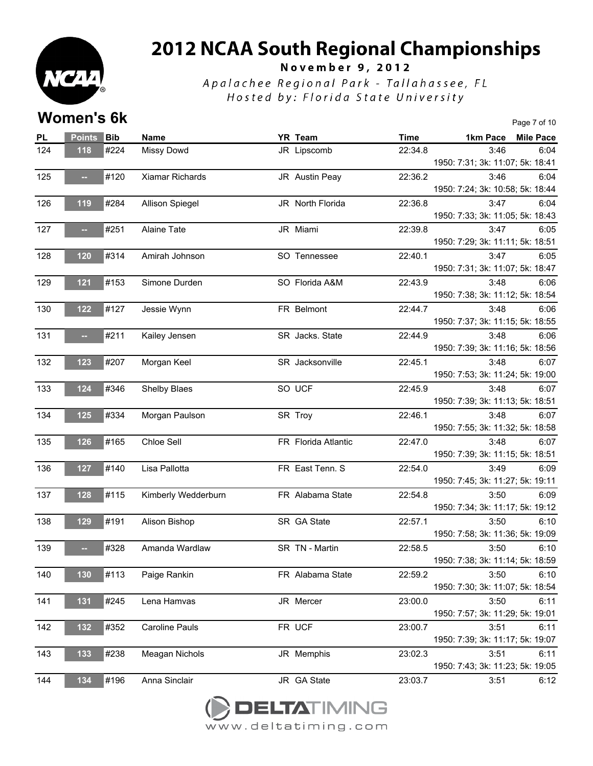

November 9, 2012

Apalachee Regional Park - Tallahassee, FL Hosted by: Florida State University

#### **Women's 6k** Page 7 of 10

| <b>PL</b> | Points Bib |      | Name                  | YR Team             | <b>Time</b> | 1km Pace Mile Pace                       |      |
|-----------|------------|------|-----------------------|---------------------|-------------|------------------------------------------|------|
| 124       | 118        | #224 | Missy Dowd            | JR Lipscomb         | 22:34.8     | 3:46                                     | 6:04 |
|           |            |      |                       |                     |             | 1950: 7:31; 3k: 11:07; 5k: 18:41         |      |
| 125       |            | #120 | Xiamar Richards       | JR Austin Peay      | 22:36.2     | 3:46                                     | 6:04 |
|           |            |      |                       |                     |             | 1950: 7:24; 3k: 10:58; 5k: 18:44         |      |
| 126       | 119        | #284 | Allison Spiegel       | JR North Florida    | 22:36.8     | 3:47                                     | 6:04 |
|           |            |      |                       |                     |             | 1950: 7:33; 3k: 11:05; 5k: 18:43         |      |
| 127       |            | #251 | Alaine Tate           | JR Miami            | 22:39.8     | 3:47                                     | 6:05 |
|           |            |      |                       |                     |             | 1950: 7:29; 3k: 11:11; 5k: 18:51         |      |
| 128       | 120        | #314 | Amirah Johnson        | SO Tennessee        | 22:40.1     | 3:47                                     | 6:05 |
|           |            |      |                       |                     |             | 1950: 7:31; 3k: 11:07; 5k: 18:47         |      |
| 129       | 121        | #153 | Simone Durden         | SO Florida A&M      | 22:43.9     | 3:48                                     | 6:06 |
|           |            |      |                       |                     |             | 1950: 7:38; 3k: 11:12; 5k: 18:54         |      |
| 130       | $122$      | #127 | Jessie Wynn           | FR Belmont          | 22:44.7     | 3:48                                     | 6:06 |
|           |            |      |                       |                     |             | 1950: 7:37; 3k: 11:15; 5k: 18:55         |      |
| 131       |            | #211 | Kailey Jensen         | SR Jacks. State     | 22:44.9     | 3:48                                     | 6:06 |
|           |            |      |                       |                     |             | 1950: 7:39; 3k: 11:16; 5k: 18:56         |      |
| 132       | 123        | #207 | Morgan Keel           | SR Jacksonville     | 22:45.1     | 3:48                                     | 6:07 |
|           |            |      |                       |                     |             | 1950: 7:53; 3k: 11:24; 5k: 19:00         |      |
| 133       | 124        | #346 | Shelby Blaes          | SO UCF              | 22:45.9     | 3:48                                     | 6:07 |
|           |            |      |                       |                     |             | 1950: 7:39; 3k: 11:13; 5k: 18:51         |      |
| 134       | 125        | #334 | Morgan Paulson        | SR Troy             | 22:46.1     | 3:48                                     | 6:07 |
|           |            |      |                       |                     |             | 1950: 7:55; 3k: 11:32; 5k: 18:58         |      |
| 135       | 126        | #165 | Chloe Sell            | FR Florida Atlantic | 22:47.0     | 3:48                                     | 6:07 |
|           |            |      |                       |                     |             | 1950: 7:39; 3k: 11:15; 5k: 18:51         |      |
| 136       | 127        | #140 | Lisa Pallotta         | FR East Tenn. S     | 22:54.0     | 3:49                                     | 6:09 |
|           |            |      |                       |                     |             | 1950: 7:45; 3k: 11:27; 5k: 19:11         |      |
| 137       | 128        | #115 | Kimberly Wedderburn   | FR Alabama State    | 22:54.8     | 3:50                                     | 6:09 |
|           |            |      |                       |                     |             | 1950: 7:34; 3k: 11:17; 5k: 19:12         |      |
| 138       | 129        | #191 | Alison Bishop         | SR GA State         | 22:57.1     | 3:50                                     | 6:10 |
|           |            |      |                       |                     |             | 1950: 7:58; 3k: 11:36; 5k: 19:09         |      |
| 139       |            | #328 | Amanda Wardlaw        | SR TN - Martin      | 22:58.5     | 3:50                                     | 6:10 |
|           |            |      |                       |                     |             | 1950: 7:38; 3k: 11:14; 5k: 18:59         |      |
| 140       | 130        | #113 | Paige Rankin          | FR Alabama State    | 22:59.2     | 3:50<br>1950: 7:30; 3k: 11:07; 5k: 18:54 | 6:10 |
|           |            |      |                       |                     |             |                                          |      |
| 141       | 131        | #245 | Lena Hamvas           | JR Mercer           | 23:00.0     | 3:50<br>1950: 7:57; 3k: 11:29; 5k: 19:01 | 6:11 |
|           |            | #352 |                       |                     |             |                                          |      |
| 142       | 132        |      | <b>Caroline Pauls</b> | FR UCF              | 23:00.7     | 3:51<br>1950: 7:39; 3k: 11:17; 5k: 19:07 | 6:11 |
| 143       |            | #238 | Meagan Nichols        | JR Memphis          | 23:02.3     | 3:51                                     | 6:11 |
|           | 133        |      |                       |                     |             | 1950: 7:43; 3k: 11:23; 5k: 19:05         |      |
| 144       | 134        | #196 |                       | JR GA State         | 23:03.7     | 3:51                                     | 6:12 |
|           |            |      | Anna Sinclair         |                     |             |                                          |      |

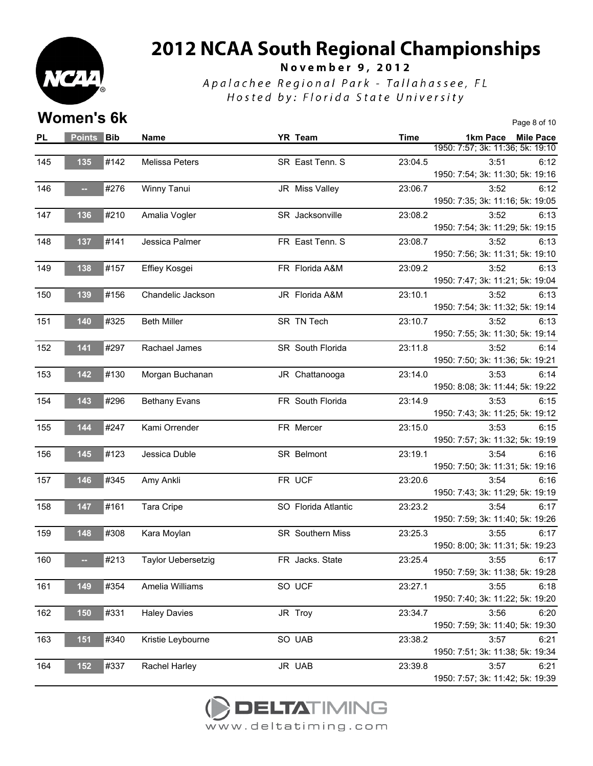

November 9, 2012

Apalachee Regional Park - Tallahassee, FL Hosted by: Florida State University

**Women's 6k** Page 8 of 10

| <b>PL</b> | Points Bib |      | Name                 | YR Team                 | <b>Time</b> | 1km Pace Mile Pace               |      |
|-----------|------------|------|----------------------|-------------------------|-------------|----------------------------------|------|
|           |            |      |                      |                         |             | 1950: 7:57; 3k: 11:36; 5k: 19:10 |      |
| 145       | 135        | #142 | Melissa Peters       | SR East Tenn. S         | 23:04.5     | 3:51                             | 6:12 |
|           |            |      |                      |                         |             | 1950: 7:54; 3k: 11:30; 5k: 19:16 |      |
| 146       |            | #276 | Winny Tanui          | JR Miss Valley          | 23:06.7     | 3:52                             | 6:12 |
|           |            |      |                      |                         |             | 1950: 7:35; 3k: 11:16; 5k: 19:05 |      |
| 147       | 136        | #210 | Amalia Vogler        | SR Jacksonville         | 23:08.2     | 3:52                             | 6:13 |
|           |            |      |                      |                         |             | 1950: 7:54; 3k: 11:29; 5k: 19:15 |      |
| 148       | 137        | #141 | Jessica Palmer       | FR East Tenn. S         | 23:08.7     | 3:52                             | 6:13 |
|           |            |      |                      |                         |             | 1950: 7:56; 3k: 11:31; 5k: 19:10 |      |
| 149       | 138        | #157 | Effiey Kosgei        | FR Florida A&M          | 23:09.2     | 3:52                             | 6:13 |
|           |            |      |                      |                         |             | 1950: 7:47; 3k: 11:21; 5k: 19:04 |      |
| 150       | 139        | #156 | Chandelic Jackson    | JR Florida A&M          |             | 23:10.1<br>3:52                  | 6:13 |
|           |            |      |                      |                         |             | 1950: 7:54; 3k: 11:32; 5k: 19:14 |      |
| 151       | 140        | #325 | <b>Beth Miller</b>   | SR TN Tech              | 23:10.7     | 3:52                             | 6:13 |
|           |            |      |                      |                         |             | 1950: 7:55; 3k: 11:30; 5k: 19:14 |      |
| 152       | 141        | #297 | Rachael James        | SR South Florida        | 23:11.8     | 3:52                             | 6:14 |
|           |            |      |                      |                         |             | 1950: 7:50; 3k: 11:36; 5k: 19:21 |      |
|           |            | #130 |                      |                         |             | 3:53                             | 6:14 |
| 153       | 142        |      | Morgan Buchanan      | JR Chattanooga          | 23:14.0     | 1950: 8:08; 3k: 11:44; 5k: 19:22 |      |
|           |            |      |                      |                         |             |                                  |      |
| 154       | 143        | #296 | <b>Bethany Evans</b> | FR South Florida        | 23:14.9     | 3:53                             | 6:15 |
|           |            |      |                      |                         |             | 1950: 7:43; 3k: 11:25; 5k: 19:12 |      |
| 155       | 144        | #247 | Kami Orrender        | FR Mercer               | 23:15.0     | 3:53                             | 6:15 |
|           |            |      |                      |                         |             | 1950: 7:57; 3k: 11:32; 5k: 19:19 |      |
| 156       | 145        | #123 | Jessica Duble        | SR Belmont              | 23:19.1     | 3:54                             | 6:16 |
|           |            |      |                      |                         |             | 1950: 7:50; 3k: 11:31; 5k: 19:16 |      |
| 157       | 146        | #345 | Amy Ankli            | FR UCF                  | 23:20.6     | 3:54                             | 6:16 |
|           |            |      |                      |                         |             | 1950: 7:43; 3k: 11:29; 5k: 19:19 |      |
| 158       | 147        | #161 | Tara Cripe           | SO Florida Atlantic     | 23:23.2     | 3:54                             | 6:17 |
|           |            |      |                      |                         |             | 1950: 7:59; 3k: 11:40; 5k: 19:26 |      |
| 159       | 148        | #308 | Kara Moylan          | <b>SR</b> Southern Miss | 23:25.3     | 3:55                             | 6:17 |
|           |            |      |                      |                         |             | 1950: 8:00; 3k: 11:31; 5k: 19:23 |      |
| 160       |            | #213 | Taylor Uebersetzig   | FR Jacks. State         |             | 23:25.4<br>3:55                  | 6:17 |
|           |            |      |                      |                         |             | 1950: 7:59; 3k: 11:38; 5k: 19:28 |      |
| 161       | 149        | #354 | Amelia Williams      | SO UCF                  | 23:27.1     | 3:55                             | 6:18 |
|           |            |      |                      |                         |             | 1950: 7:40; 3k: 11:22; 5k: 19:20 |      |
| 162       | 150        | #331 | <b>Haley Davies</b>  | JR Troy                 | 23:34.7     | 3:56                             | 6:20 |
|           |            |      |                      |                         |             | 1950: 7:59; 3k: 11:40; 5k: 19:30 |      |
| 163       | 151        | #340 | Kristie Leybourne    | SO UAB                  | 23:38.2     | 3:57                             | 6:21 |
|           |            |      |                      |                         |             | 1950: 7:51; 3k: 11:38; 5k: 19:34 |      |
|           |            |      |                      |                         |             |                                  |      |
| 164       | 152        | #337 | Rachel Harley        | JR UAB                  | 23:39.8     | 3:57                             | 6:21 |
|           |            |      |                      |                         |             | 1950: 7:57; 3k: 11:42; 5k: 19:39 |      |

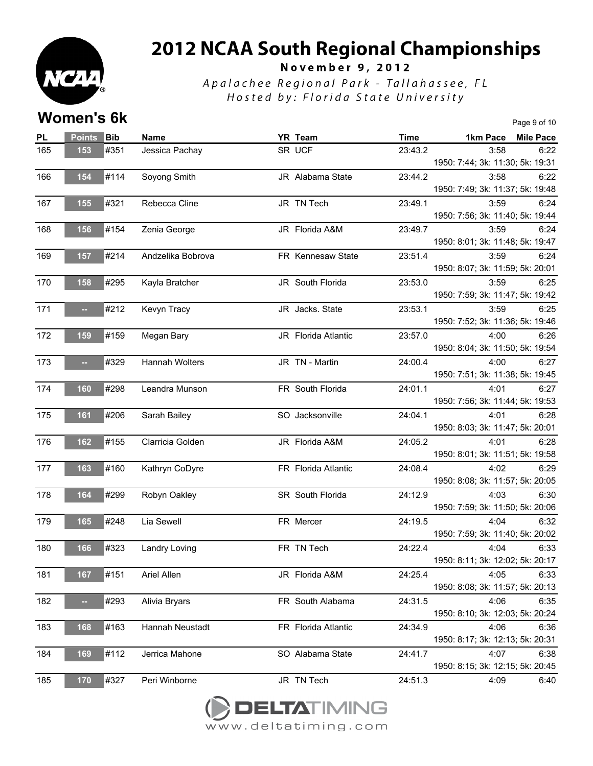

November 9, 2012

Apalachee Regional Park - Tallahassee, FL Hosted by: Florida State University

**Women's 6k** Page 9 of 10

| <b>PL</b> | <b>Points</b> | Bib  | <b>Name</b>       | YR Team             | <b>Time</b> | 1km Pace Mile Pace               |
|-----------|---------------|------|-------------------|---------------------|-------------|----------------------------------|
| 165       | 153           | #351 | Jessica Pachay    | SR UCF              | 23:43.2     | 3:58<br>6:22                     |
|           |               |      |                   |                     |             | 1950: 7:44; 3k: 11:30; 5k: 19:31 |
| 166       | 154           | #114 | Soyong Smith      | JR Alabama State    | 23:44.2     | 3:58<br>6:22                     |
|           |               |      |                   |                     |             | 1950: 7:49; 3k: 11:37; 5k: 19:48 |
| 167       | 155           | #321 | Rebecca Cline     | JR TN Tech          | 23:49.1     | 3:59<br>6:24                     |
|           |               |      |                   |                     |             | 1950: 7:56; 3k: 11:40; 5k: 19:44 |
| 168       | 156           | #154 | Zenia George      | JR Florida A&M      | 23:49.7     | 3:59<br>6:24                     |
|           |               |      |                   |                     |             | 1950: 8:01; 3k: 11:48; 5k: 19:47 |
| 169       | 157           | #214 | Andzelika Bobrova | FR Kennesaw State   | 23:51.4     | 3:59<br>6:24                     |
|           |               |      |                   |                     |             | 1950: 8:07; 3k: 11:59; 5k: 20:01 |
| 170       | 158           | #295 | Kayla Bratcher    | JR South Florida    | 23:53.0     | 6:25<br>3:59                     |
|           |               |      |                   |                     |             | 1950: 7:59; 3k: 11:47; 5k: 19:42 |
| 171       |               | #212 | Kevyn Tracy       | JR Jacks. State     | 23:53.1     | 3:59<br>6:25                     |
|           |               |      |                   |                     |             | 1950: 7:52; 3k: 11:36; 5k: 19:46 |
| 172       | 159           | #159 | Megan Bary        | JR Florida Atlantic | 23:57.0     | 4:00<br>6:26                     |
|           |               |      |                   |                     |             | 1950: 8:04; 3k: 11:50; 5k: 19:54 |
| 173       |               | #329 | Hannah Wolters    | JR TN - Martin      | 24:00.4     | 6:27<br>4:00                     |
|           |               |      |                   |                     |             | 1950: 7:51; 3k: 11:38; 5k: 19:45 |
| 174       | 160           | #298 | Leandra Munson    | FR South Florida    | 24:01.1     | 4:01<br>6:27                     |
|           |               |      |                   |                     |             | 1950: 7:56; 3k: 11:44; 5k: 19:53 |
| 175       | 161           | #206 | Sarah Bailey      | SO Jacksonville     | 24:04.1     | 4:01<br>6:28                     |
|           |               |      |                   |                     |             | 1950: 8:03; 3k: 11:47; 5k: 20:01 |
| 176       | 162           | #155 | Clarricia Golden  | JR Florida A&M      | 24:05.2     | 4:01<br>6:28                     |
|           |               |      |                   |                     |             | 1950: 8:01; 3k: 11:51; 5k: 19:58 |
| 177       | 163           | #160 | Kathryn CoDyre    | FR Florida Atlantic | 24:08.4     | 4:02<br>6:29                     |
|           |               |      |                   |                     |             | 1950: 8:08; 3k: 11:57; 5k: 20:05 |
| 178       | 164           | #299 | Robyn Oakley      | SR South Florida    | 24:12.9     | 4:03<br>6:30                     |
|           |               |      |                   |                     |             | 1950: 7:59; 3k: 11:50; 5k: 20:06 |
| 179       | 165           | #248 | Lia Sewell        | FR Mercer           | 24:19.5     | 4:04<br>6:32                     |
|           |               |      |                   |                     |             | 1950: 7:59; 3k: 11:40; 5k: 20:02 |
| 180       | 166           | #323 | Landry Loving     | FR TN Tech          | 24:22.4     | 6:33<br>4:04                     |
|           |               |      |                   |                     |             | 1950: 8:11; 3k: 12:02; 5k: 20:17 |
| 181       | 167           | #151 | Ariel Allen       | JR Florida A&M      | 24:25.4     | 4:05<br>6:33                     |
|           |               |      |                   |                     |             | 1950: 8:08; 3k: 11:57; 5k: 20:13 |
| 182       |               | #293 | Alivia Bryars     | FR South Alabama    | 24:31.5     | 4:06<br>6:35                     |
|           |               |      |                   |                     |             | 1950: 8:10; 3k: 12:03; 5k: 20:24 |
| 183       | 168           | #163 | Hannah Neustadt   | FR Florida Atlantic | 24:34.9     | 4:06<br>6:36                     |
|           |               |      |                   |                     |             | 1950: 8:17; 3k: 12:13; 5k: 20:31 |
| 184       | 169           | #112 | Jerrica Mahone    | SO Alabama State    | 24:41.7     | 4:07<br>6:38                     |
|           |               |      |                   |                     |             | 1950: 8:15; 3k: 12:15; 5k: 20:45 |
| 185       | 170           | #327 | Peri Winborne     | JR TN Tech          | 24:51.3     | 4:09<br>6:40                     |